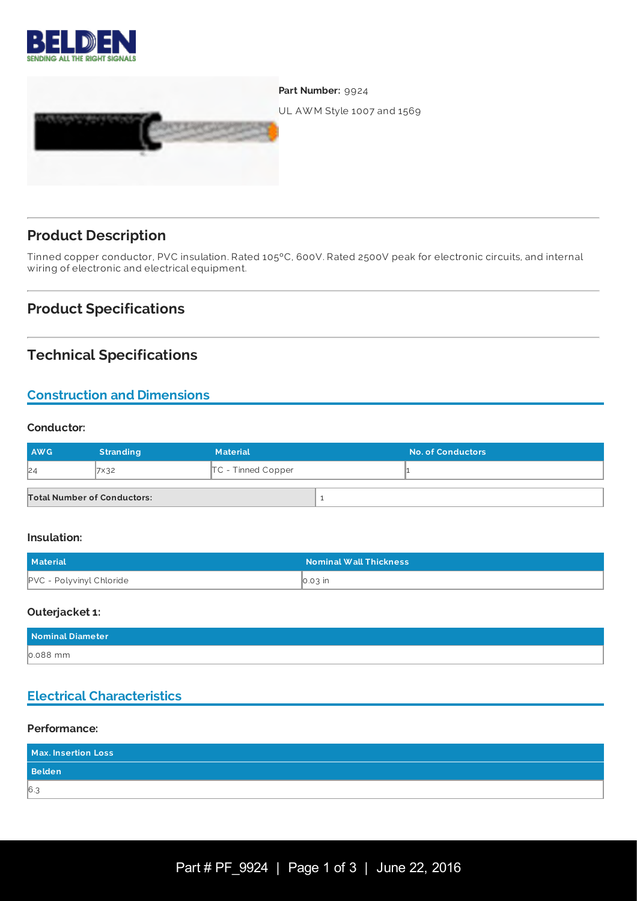



## **Product Description**

Tinned copper conductor, PVC insulation. Rated 105ºC, 600V. Rated 2500V peak for electronic circuits, and internal wiring of electronic and electrical equipment.

## **Product Specifications**

## **Technical Specifications**

## **Construction and Dimensions**

#### **Conductor:**

| <b>AWG</b>                         | <b>Stranding</b> | <b>Material</b>      | <b>No. of Conductors</b> |
|------------------------------------|------------------|----------------------|--------------------------|
| 24                                 | <b>7×32</b>      | $TC$ - Tinned Copper |                          |
| <b>Total Number of Conductors:</b> |                  |                      |                          |

#### **Insulation:**

| <b>Material</b>                 | <b>Nominal Wall Thickness</b> |
|---------------------------------|-------------------------------|
| <b>PVC - Polyvinyl Chloride</b> | $\vert$ 0.03 $\vert$ in       |

#### **Outerjacket 1:**

| Nominal Diameter |  |
|------------------|--|
| $0.088$ mm       |  |

### **Electrical Characteristics**

#### **Performance:**

| Max. Insertion Loss |  |
|---------------------|--|
| <b>Belden</b>       |  |
| 6.3                 |  |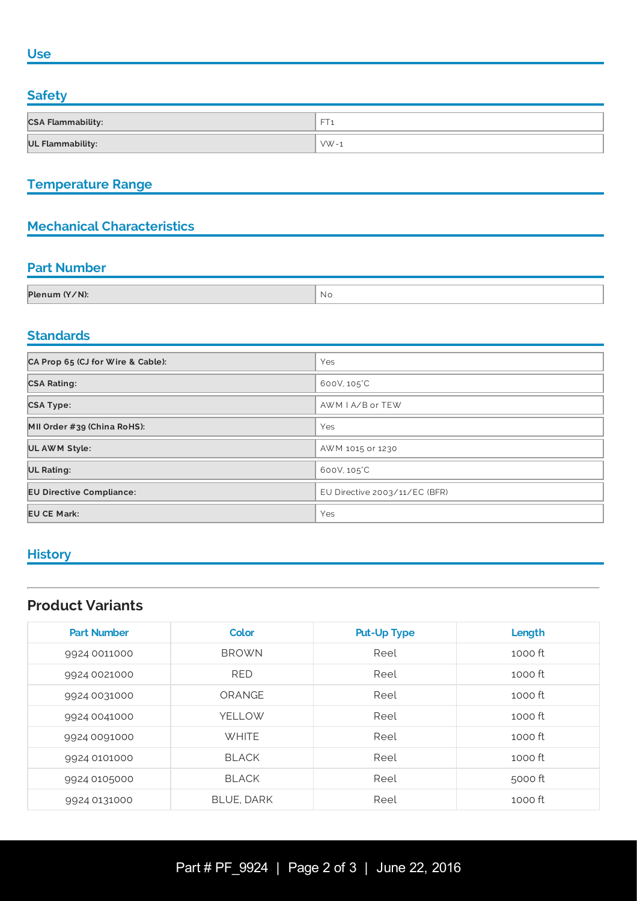#### **Use**

#### **Safety**

| <b>CSA Flammability:</b> | --         |
|--------------------------|------------|
| <b>UL Flammability:</b>  | $\sqrt{x}$ |

## **Temperature Range**

## **Mechanical Characteristics**

### **Part Number**

| Plenum (Y/N): | ' No |
|---------------|------|
|               |      |

## **Standards**

| CA Prop 65 (CJ for Wire & Cable): | Yes                           |  |
|-----------------------------------|-------------------------------|--|
| <b>CSA Rating:</b>                | 600V, 105°C                   |  |
| <b>CSA Type:</b>                  | AWM I A/B or TEW              |  |
| MII Order #39 (China RoHS):       | Yes                           |  |
| UL AWM Style:                     | AWM 1015 or 1230              |  |
| <b>UL Rating:</b>                 | 600V, 105°C                   |  |
| <b>EU Directive Compliance:</b>   | EU Directive 2003/11/EC (BFR) |  |
| <b>EU CE Mark:</b>                | Yes                           |  |

# **History**

## **Product Variants**

| <b>Part Number</b> | Color             | <b>Put-Up Type</b> | Length  |
|--------------------|-------------------|--------------------|---------|
| 9924 0011000       | <b>BROWN</b>      | Reel               | 1000 ft |
| 9924 0021000       | <b>RED</b>        | Reel               | 1000 ft |
| 9924 0031000       | ORANGE            | Reel               | 1000 ft |
| 9924 0041000       | YELLOW            | Reel               | 1000 ft |
| 9924 0091000       | <b>WHITE</b>      | Reel               | 1000 ft |
| 9924 0101000       | <b>BLACK</b>      | Reel               | 1000 ft |
| 9924 0105000       | <b>BLACK</b>      | Reel               | 5000 ft |
| 9924 0131000       | <b>BLUE, DARK</b> | Reel               | 1000 ft |